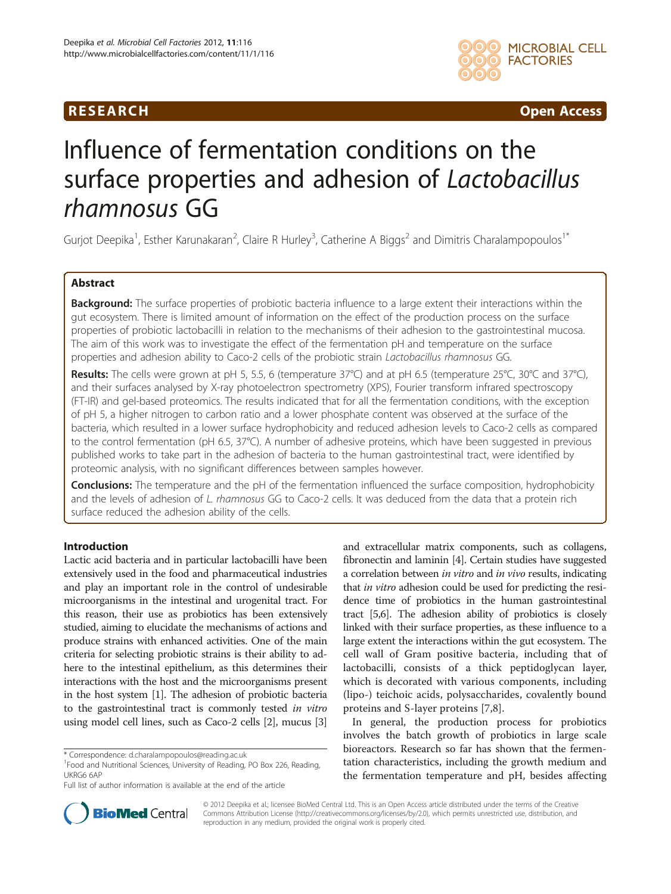## **RESEARCH RESEARCH CONSUMING ACCESS**



# Influence of fermentation conditions on the surface properties and adhesion of Lactobacillus rhamnosus GG

Gurjot Deepika<sup>1</sup>, Esther Karunakaran<sup>2</sup>, Claire R Hurley<sup>3</sup>, Catherine A Biggs<sup>2</sup> and Dimitris Charalampopoulos<sup>1\*</sup>

## Abstract

Background: The surface properties of probiotic bacteria influence to a large extent their interactions within the gut ecosystem. There is limited amount of information on the effect of the production process on the surface properties of probiotic lactobacilli in relation to the mechanisms of their adhesion to the gastrointestinal mucosa. The aim of this work was to investigate the effect of the fermentation pH and temperature on the surface properties and adhesion ability to Caco-2 cells of the probiotic strain Lactobacillus rhamnosus GG.

Results: The cells were grown at pH 5, 5.5, 6 (temperature 37°C) and at pH 6.5 (temperature 25°C, 30°C and 37°C), and their surfaces analysed by X-ray photoelectron spectrometry (XPS), Fourier transform infrared spectroscopy (FT-IR) and gel-based proteomics. The results indicated that for all the fermentation conditions, with the exception of pH 5, a higher nitrogen to carbon ratio and a lower phosphate content was observed at the surface of the bacteria, which resulted in a lower surface hydrophobicity and reduced adhesion levels to Caco-2 cells as compared to the control fermentation (pH 6.5, 37°C). A number of adhesive proteins, which have been suggested in previous published works to take part in the adhesion of bacteria to the human gastrointestinal tract, were identified by proteomic analysis, with no significant differences between samples however.

**Conclusions:** The temperature and the pH of the fermentation influenced the surface composition, hydrophobicity and the levels of adhesion of L. rhamnosus GG to Caco-2 cells. It was deduced from the data that a protein rich surface reduced the adhesion ability of the cells.

## Introduction

Lactic acid bacteria and in particular lactobacilli have been extensively used in the food and pharmaceutical industries and play an important role in the control of undesirable microorganisms in the intestinal and urogenital tract. For this reason, their use as probiotics has been extensively studied, aiming to elucidate the mechanisms of actions and produce strains with enhanced activities. One of the main criteria for selecting probiotic strains is their ability to adhere to the intestinal epithelium, as this determines their interactions with the host and the microorganisms present in the host system [[1\]](#page-10-0). The adhesion of probiotic bacteria to the gastrointestinal tract is commonly tested in vitro using model cell lines, such as Caco-2 cells [\[2\]](#page-10-0), mucus [[3](#page-10-0)]

and extracellular matrix components, such as collagens, fibronectin and laminin [\[4](#page-10-0)]. Certain studies have suggested a correlation between in vitro and in vivo results, indicating that in vitro adhesion could be used for predicting the residence time of probiotics in the human gastrointestinal tract [\[5,6\]](#page-10-0). The adhesion ability of probiotics is closely linked with their surface properties, as these influence to a large extent the interactions within the gut ecosystem. The cell wall of Gram positive bacteria, including that of lactobacilli, consists of a thick peptidoglycan layer, which is decorated with various components, including (lipo-) teichoic acids, polysaccharides, covalently bound proteins and S-layer proteins [\[7,8](#page-10-0)].

In general, the production process for probiotics involves the batch growth of probiotics in large scale bioreactors. Research so far has shown that the fermentation characteristics, including the growth medium and the fermentation temperature and pH, besides affecting



© 2012 Deepika et al.; licensee BioMed Central Ltd. This is an Open Access article distributed under the terms of the Creative Commons Attribution License ([http://creativecommons.org/licenses/by/2.0\)](http://creativecommons.org/licenses/by/2.0), which permits unrestricted use, distribution, and reproduction in any medium, provided the original work is properly cited.

<sup>\*</sup> Correspondence: [d.charalampopoulos@reading.ac.uk](mailto:d.charalampopoulos@reading.ac.uk) <sup>1</sup>

<sup>&</sup>lt;sup>1</sup>Food and Nutritional Sciences, University of Reading, PO Box 226, Reading, UKRG6 6AP

Full list of author information is available at the end of the article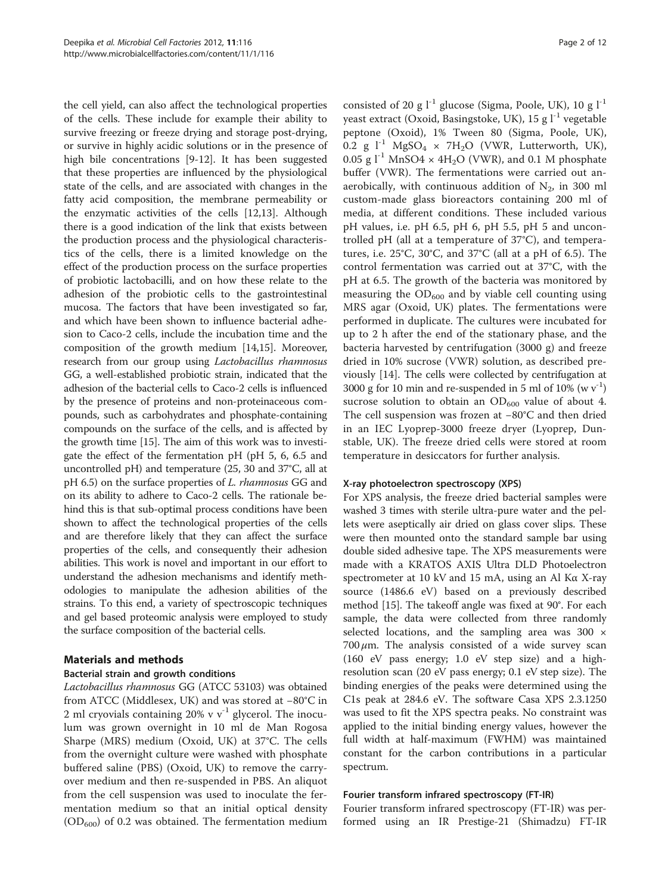the cell yield, can also affect the technological properties of the cells. These include for example their ability to survive freezing or freeze drying and storage post-drying, or survive in highly acidic solutions or in the presence of high bile concentrations [[9-12](#page-10-0)]. It has been suggested that these properties are influenced by the physiological state of the cells, and are associated with changes in the fatty acid composition, the membrane permeability or the enzymatic activities of the cells [[12,13\]](#page-10-0). Although there is a good indication of the link that exists between the production process and the physiological characteristics of the cells, there is a limited knowledge on the effect of the production process on the surface properties of probiotic lactobacilli, and on how these relate to the adhesion of the probiotic cells to the gastrointestinal mucosa. The factors that have been investigated so far, and which have been shown to influence bacterial adhesion to Caco-2 cells, include the incubation time and the composition of the growth medium [\[14,15\]](#page-10-0). Moreover, research from our group using Lactobacillus rhamnosus GG, a well-established probiotic strain, indicated that the adhesion of the bacterial cells to Caco-2 cells is influenced by the presence of proteins and non-proteinaceous compounds, such as carbohydrates and phosphate-containing compounds on the surface of the cells, and is affected by the growth time [\[15\]](#page-10-0). The aim of this work was to investigate the effect of the fermentation pH (pH 5, 6, 6.5 and uncontrolled pH) and temperature (25, 30 and 37°C, all at pH 6.5) on the surface properties of L. rhamnosus GG and on its ability to adhere to Caco-2 cells. The rationale behind this is that sub-optimal process conditions have been shown to affect the technological properties of the cells and are therefore likely that they can affect the surface properties of the cells, and consequently their adhesion abilities. This work is novel and important in our effort to understand the adhesion mechanisms and identify methodologies to manipulate the adhesion abilities of the strains. To this end, a variety of spectroscopic techniques and gel based proteomic analysis were employed to study the surface composition of the bacterial cells.

## Materials and methods

## Bacterial strain and growth conditions

Lactobacillus rhamnosus GG (ATCC 53103) was obtained from ATCC (Middlesex, UK) and was stored at −80°C in 2 ml cryovials containing 20% v  $v^{-1}$  glycerol. The inoculum was grown overnight in 10 ml de Man Rogosa Sharpe (MRS) medium (Oxoid, UK) at 37°C. The cells from the overnight culture were washed with phosphate buffered saline (PBS) (Oxoid, UK) to remove the carryover medium and then re-suspended in PBS. An aliquot from the cell suspension was used to inoculate the fermentation medium so that an initial optical density  $(OD_{600})$  of 0.2 was obtained. The fermentation medium

consisted of 20 g  $l^{-1}$  glucose (Sigma, Poole, UK), 10 g  $l^{-1}$ yeast extract (Oxoid, Basingstoke, UK),  $15 \text{ g}$   $\text{l}^{-1}$  vegetable peptone (Oxoid), 1% Tween 80 (Sigma, Poole, UK), 0.2 g  $l^{-1}$  MgSO<sub>4</sub>  $\times$  7H<sub>2</sub>O (VWR, Lutterworth, UK), 0.05 g  $l^{-1}$  MnSO4  $\times$  4H<sub>2</sub>O (VWR), and 0.1 M phosphate buffer (VWR). The fermentations were carried out anaerobically, with continuous addition of  $N_2$ , in 300 ml custom-made glass bioreactors containing 200 ml of media, at different conditions. These included various pH values, i.e. pH 6.5, pH 6, pH 5.5, pH 5 and uncontrolled pH (all at a temperature of 37°C), and temperatures, i.e. 25°C, 30°C, and 37°C (all at a pH of 6.5). The control fermentation was carried out at 37°C, with the pH at 6.5. The growth of the bacteria was monitored by measuring the  $OD_{600}$  and by viable cell counting using MRS agar (Oxoid, UK) plates. The fermentations were performed in duplicate. The cultures were incubated for up to 2 h after the end of the stationary phase, and the bacteria harvested by centrifugation (3000 g) and freeze dried in 10% sucrose (VWR) solution, as described previously [[14\]](#page-10-0). The cells were collected by centrifugation at 3000 g for 10 min and re-suspended in 5 ml of 10%  $(w v<sup>-1</sup>)$ sucrose solution to obtain an  $OD_{600}$  value of about 4. The cell suspension was frozen at −80°C and then dried in an IEC Lyoprep-3000 freeze dryer (Lyoprep, Dunstable, UK). The freeze dried cells were stored at room temperature in desiccators for further analysis.

#### X-ray photoelectron spectroscopy (XPS)

For XPS analysis, the freeze dried bacterial samples were washed 3 times with sterile ultra-pure water and the pellets were aseptically air dried on glass cover slips. These were then mounted onto the standard sample bar using double sided adhesive tape. The XPS measurements were made with a KRATOS AXIS Ultra DLD Photoelectron spectrometer at 10 kV and 15 mA, using an Al Kα X-ray source (1486.6 eV) based on a previously described method [\[15\]](#page-10-0). The takeoff angle was fixed at 90°. For each sample, the data were collected from three randomly selected locations, and the sampling area was 300  $\times$  $700 \mu$ m. The analysis consisted of a wide survey scan (160 eV pass energy; 1.0 eV step size) and a highresolution scan (20 eV pass energy; 0.1 eV step size). The binding energies of the peaks were determined using the C1s peak at 284.6 eV. The software Casa XPS 2.3.1250 was used to fit the XPS spectra peaks. No constraint was applied to the initial binding energy values, however the full width at half-maximum (FWHM) was maintained constant for the carbon contributions in a particular spectrum.

#### Fourier transform infrared spectroscopy (FT-IR)

Fourier transform infrared spectroscopy (FT-IR) was performed using an IR Prestige-21 (Shimadzu) FT-IR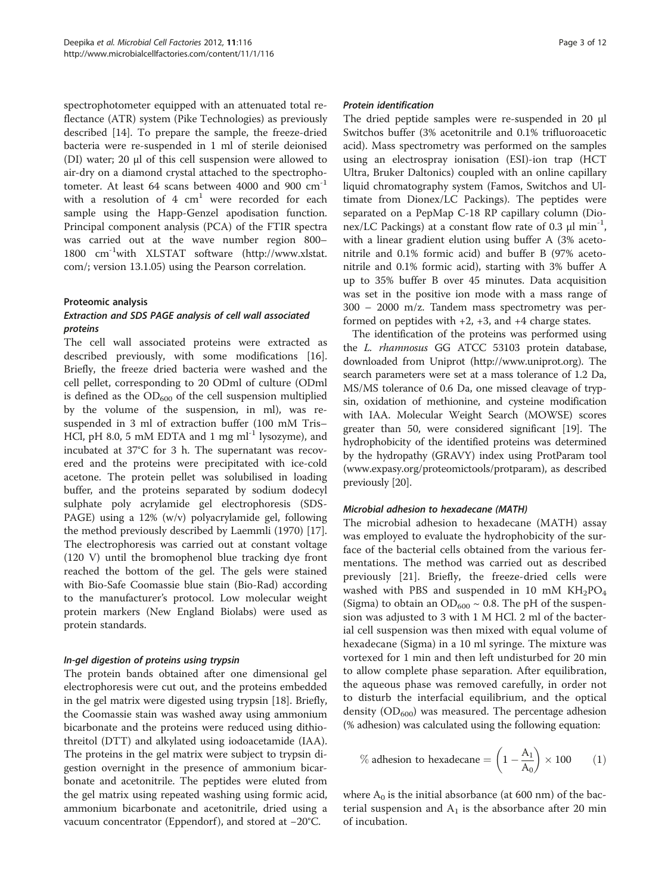spectrophotometer equipped with an attenuated total reflectance (ATR) system (Pike Technologies) as previously described [[14](#page-10-0)]. To prepare the sample, the freeze-dried bacteria were re-suspended in 1 ml of sterile deionised (DI) water; 20 μl of this cell suspension were allowed to air-dry on a diamond crystal attached to the spectrophotometer. At least 64 scans between 4000 and 900 cm-1 with a resolution of  $4 \text{ cm}^1$  were recorded for each sample using the Happ-Genzel apodisation function. Principal component analysis (PCA) of the FTIR spectra was carried out at the wave number region 800– 1800 cm-1with XLSTAT software [\(http://www.xlstat.](http://www.xlstat.com/) [com/;](http://www.xlstat.com/) version 13.1.05) using the Pearson correlation.

#### Proteomic analysis

## Extraction and SDS PAGE analysis of cell wall associated proteins

The cell wall associated proteins were extracted as described previously, with some modifications [[16](#page-10-0)]. Briefly, the freeze dried bacteria were washed and the cell pellet, corresponding to 20 ODml of culture (ODml is defined as the  $OD_{600}$  of the cell suspension multiplied by the volume of the suspension, in ml), was resuspended in 3 ml of extraction buffer (100 mM Tris– HCl, pH 8.0, 5 mM EDTA and 1 mg ml<sup>-1</sup> lysozyme), and incubated at 37°C for 3 h. The supernatant was recovered and the proteins were precipitated with ice-cold acetone. The protein pellet was solubilised in loading buffer, and the proteins separated by sodium dodecyl sulphate poly acrylamide gel electrophoresis (SDS-PAGE) using a 12% (w/v) polyacrylamide gel, following the method previously described by Laemmli (1970) [\[17](#page-10-0)]. The electrophoresis was carried out at constant voltage (120 V) until the bromophenol blue tracking dye front reached the bottom of the gel. The gels were stained with Bio-Safe Coomassie blue stain (Bio-Rad) according to the manufacturer's protocol. Low molecular weight protein markers (New England Biolabs) were used as protein standards.

## In-gel digestion of proteins using trypsin

The protein bands obtained after one dimensional gel electrophoresis were cut out, and the proteins embedded in the gel matrix were digested using trypsin [\[18](#page-10-0)]. Briefly, the Coomassie stain was washed away using ammonium bicarbonate and the proteins were reduced using dithiothreitol (DTT) and alkylated using iodoacetamide (IAA). The proteins in the gel matrix were subject to trypsin digestion overnight in the presence of ammonium bicarbonate and acetonitrile. The peptides were eluted from the gel matrix using repeated washing using formic acid, ammonium bicarbonate and acetonitrile, dried using a vacuum concentrator (Eppendorf), and stored at −20°C.

#### Protein identification

The dried peptide samples were re-suspended in 20 μl Switchos buffer (3% acetonitrile and 0.1% trifluoroacetic acid). Mass spectrometry was performed on the samples using an electrospray ionisation (ESI)-ion trap (HCT Ultra, Bruker Daltonics) coupled with an online capillary liquid chromatography system (Famos, Switchos and Ultimate from Dionex/LC Packings). The peptides were separated on a PepMap C-18 RP capillary column (Dionex/LC Packings) at a constant flow rate of 0.3  $\mu$ l min<sup>-1</sup>, with a linear gradient elution using buffer A (3% acetonitrile and 0.1% formic acid) and buffer B (97% acetonitrile and 0.1% formic acid), starting with 3% buffer A up to 35% buffer B over 45 minutes. Data acquisition was set in the positive ion mode with a mass range of 300 – 2000 m/z. Tandem mass spectrometry was performed on peptides with  $+2$ ,  $+3$ , and  $+4$  charge states.

The identification of the proteins was performed using the L. rhamnosus GG ATCC 53103 protein database, downloaded from Uniprot (<http://www.uniprot.org>). The search parameters were set at a mass tolerance of 1.2 Da, MS/MS tolerance of 0.6 Da, one missed cleavage of trypsin, oxidation of methionine, and cysteine modification with IAA. Molecular Weight Search (MOWSE) scores greater than 50, were considered significant [\[19\]](#page-10-0). The hydrophobicity of the identified proteins was determined by the hydropathy (GRAVY) index using ProtParam tool ([www.expasy.org/proteomictools/protparam\)](http://www.expasy.org/proteomictools/protparam), as described previously [\[20\]](#page-10-0).

#### Microbial adhesion to hexadecane (MATH)

The microbial adhesion to hexadecane (MATH) assay was employed to evaluate the hydrophobicity of the surface of the bacterial cells obtained from the various fermentations. The method was carried out as described previously [[21](#page-10-0)]. Briefly, the freeze-dried cells were washed with PBS and suspended in 10 mM  $KH_{2}PO_{4}$ (Sigma) to obtain an  $OD_{600} \sim 0.8$ . The pH of the suspension was adjusted to 3 with 1 M HCl. 2 ml of the bacterial cell suspension was then mixed with equal volume of hexadecane (Sigma) in a 10 ml syringe. The mixture was vortexed for 1 min and then left undisturbed for 20 min to allow complete phase separation. After equilibration, the aqueous phase was removed carefully, in order not to disturb the interfacial equilibrium, and the optical density  $(OD_{600})$  was measured. The percentage adhesion (% adhesion) was calculated using the following equation:

% adhesion to hexadecane = 
$$
\left(1 - \frac{A_1}{A_0}\right) \times 100
$$
 (1)

where  $A_0$  is the initial absorbance (at 600 nm) of the bacterial suspension and  $A_1$  is the absorbance after 20 min of incubation.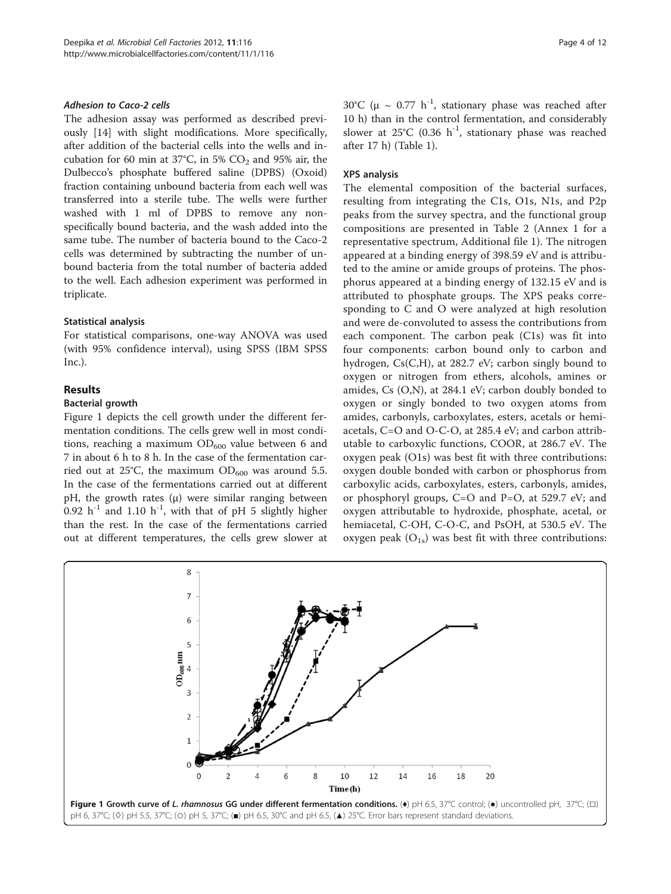#### <span id="page-3-0"></span>Adhesion to Caco-2 cells

The adhesion assay was performed as described previously [\[14\]](#page-10-0) with slight modifications. More specifically, after addition of the bacterial cells into the wells and incubation for 60 min at 37°C, in 5%  $CO<sub>2</sub>$  and 95% air, the Dulbecco's phosphate buffered saline (DPBS) (Oxoid) fraction containing unbound bacteria from each well was transferred into a sterile tube. The wells were further washed with 1 ml of DPBS to remove any nonspecifically bound bacteria, and the wash added into the same tube. The number of bacteria bound to the Caco-2 cells was determined by subtracting the number of unbound bacteria from the total number of bacteria added to the well. Each adhesion experiment was performed in triplicate.

#### Statistical analysis

For statistical comparisons, one-way ANOVA was used (with 95% confidence interval), using SPSS (IBM SPSS Inc.).

#### Results

#### Bacterial growth

Figure 1 depicts the cell growth under the different fermentation conditions. The cells grew well in most conditions, reaching a maximum  $OD_{600}$  value between 6 and 7 in about 6 h to 8 h. In the case of the fermentation carried out at 25°C, the maximum  $OD_{600}$  was around 5.5. In the case of the fermentations carried out at different pH, the growth rates  $(\mu)$  were similar ranging between 0.92  $h^{-1}$  and 1.10  $h^{-1}$ , with that of pH 5 slightly higher than the rest. In the case of the fermentations carried out at different temperatures, the cells grew slower at 30°C ( $\mu \sim 0.77$  h<sup>-1</sup>, stationary phase was reached after 10 h) than in the control fermentation, and considerably slower at  $25^{\circ}$ C (0.36 h<sup>-1</sup>, stationary phase was reached after 17 h) (Table [1](#page-4-0)).

#### XPS analysis

The elemental composition of the bacterial surfaces, resulting from integrating the C1s, O1s, N1s, and P2p peaks from the survey spectra, and the functional group compositions are presented in Table [2](#page-4-0) (Annex 1 for a representative spectrum, Additional file [1](#page-9-0)). The nitrogen appeared at a binding energy of 398.59 eV and is attributed to the amine or amide groups of proteins. The phosphorus appeared at a binding energy of 132.15 eV and is attributed to phosphate groups. The XPS peaks corresponding to C and O were analyzed at high resolution and were de-convoluted to assess the contributions from each component. The carbon peak (C1s) was fit into four components: carbon bound only to carbon and hydrogen, Cs(C,H), at 282.7 eV; carbon singly bound to oxygen or nitrogen from ethers, alcohols, amines or amides, Cs (O,N), at 284.1 eV; carbon doubly bonded to oxygen or singly bonded to two oxygen atoms from amides, carbonyls, carboxylates, esters, acetals or hemiacetals, C=O and O-C-O, at 285.4 eV; and carbon attributable to carboxylic functions, COOR, at 286.7 eV. The oxygen peak (O1s) was best fit with three contributions: oxygen double bonded with carbon or phosphorus from carboxylic acids, carboxylates, esters, carbonyls, amides, or phosphoryl groups, C=O and P=O, at 529.7 eV; and oxygen attributable to hydroxide, phosphate, acetal, or hemiacetal, C-OH, C-O-C, and PsOH, at 530.5 eV. The oxygen peak  $(O_{1s})$  was best fit with three contributions:

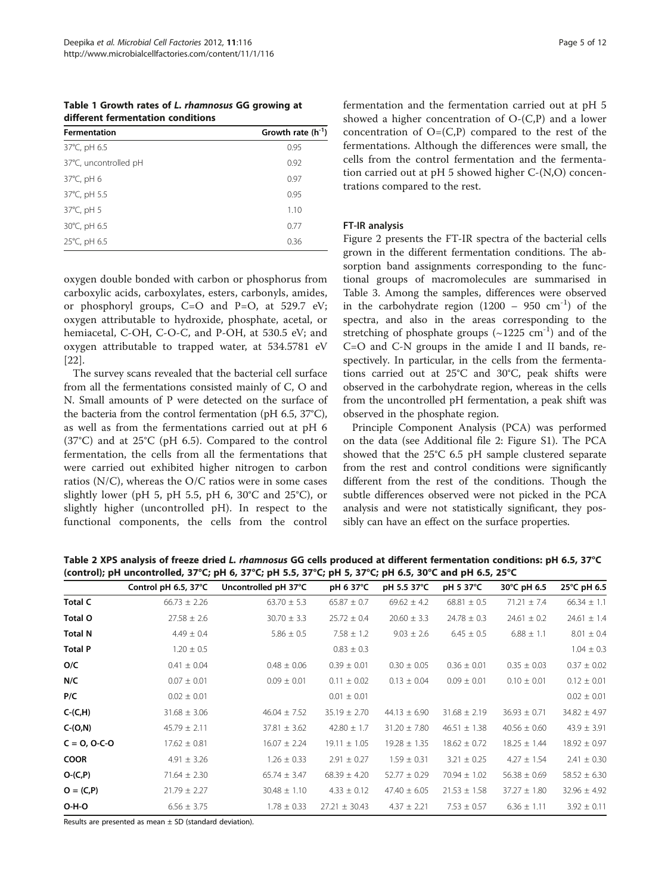<span id="page-4-0"></span>Table 1 Growth rates of L. rhamnosus GG growing at different fermentation conditions

| <b>Fermentation</b>   | Growth rate $(h^{-1})$ |
|-----------------------|------------------------|
| 37°C, pH 6.5          | 0.95                   |
| 37°C, uncontrolled pH | 0.92                   |
| 37°C, pH 6            | 0.97                   |
| 37°C, pH 5.5          | 0.95                   |
| 37°C, pH 5            | 1.10                   |
| 30°C, pH 6.5          | 0.77                   |
| 25°C, pH 6.5          | 0.36                   |
|                       |                        |

oxygen double bonded with carbon or phosphorus from carboxylic acids, carboxylates, esters, carbonyls, amides, or phosphoryl groups,  $C=O$  and  $P=O$ , at 529.7 eV; oxygen attributable to hydroxide, phosphate, acetal, or hemiacetal, C-OH, C-O-C, and P-OH, at 530.5 eV; and oxygen attributable to trapped water, at 534.5781 eV [[22\]](#page-10-0).

The survey scans revealed that the bacterial cell surface from all the fermentations consisted mainly of C, O and N. Small amounts of P were detected on the surface of the bacteria from the control fermentation (pH 6.5, 37°C), as well as from the fermentations carried out at pH 6 (37°C) and at 25°C (pH 6.5). Compared to the control fermentation, the cells from all the fermentations that were carried out exhibited higher nitrogen to carbon ratios (N/C), whereas the O/C ratios were in some cases slightly lower (pH 5, pH 5.5, pH 6, 30°C and 25°C), or slightly higher (uncontrolled pH). In respect to the functional components, the cells from the control

fermentation and the fermentation carried out at pH 5 showed a higher concentration of O-(C,P) and a lower concentration of  $O=(C,P)$  compared to the rest of the fermentations. Although the differences were small, the cells from the control fermentation and the fermentation carried out at pH 5 showed higher C-(N,O) concentrations compared to the rest.

## FT-IR analysis

Figure [2](#page-5-0) presents the FT-IR spectra of the bacterial cells grown in the different fermentation conditions. The absorption band assignments corresponding to the functional groups of macromolecules are summarised in Table [3.](#page-5-0) Among the samples, differences were observed in the carbohydrate region  $(1200 - 950 \text{ cm}^{-1})$  of the spectra, and also in the areas corresponding to the stretching of phosphate groups  $(\sim 1225 \text{ cm}^{-1})$  and of the C=O and C-N groups in the amide I and II bands, respectively. In particular, in the cells from the fermentations carried out at 25°C and 30°C, peak shifts were observed in the carbohydrate region, whereas in the cells from the uncontrolled pH fermentation, a peak shift was observed in the phosphate region.

Principle Component Analysis (PCA) was performed on the data (see Additional file [2:](#page-9-0) Figure S1). The PCA showed that the 25°C 6.5 pH sample clustered separate from the rest and control conditions were significantly different from the rest of the conditions. Though the subtle differences observed were not picked in the PCA analysis and were not statistically significant, they possibly can have an effect on the surface properties.

|                | Control pH 6.5, 37°C | Uncontrolled pH 37°C | pH 6 37°C         | pH 5.5 37°C      | pH 5 37°C        | 30°C pH 6.5      | 25°C pH 6.5      |
|----------------|----------------------|----------------------|-------------------|------------------|------------------|------------------|------------------|
| <b>Total C</b> | $66.73 \pm 2.26$     | $63.70 \pm 5.3$      | $65.87 \pm 0.7$   | $69.62 \pm 4.2$  | $68.81 \pm 0.5$  | $71.21 \pm 7.4$  | $66.34 \pm 1.1$  |
| Total O        | $27.58 \pm 2.6$      | $30.70 \pm 3.3$      | $25.72 \pm 0.4$   | $20.60 \pm 3.3$  | $24.78 \pm 0.3$  | $24.61 \pm 0.2$  | $24.61 \pm 1.4$  |
| <b>Total N</b> | $4.49 \pm 0.4$       | $5.86 \pm 0.5$       | $7.58 \pm 1.2$    | $9.03 \pm 2.6$   | $6.45 \pm 0.5$   | $6.88 \pm 1.1$   | $8.01 \pm 0.4$   |
| <b>Total P</b> | $1.20 \pm 0.5$       |                      | $0.83 \pm 0.3$    |                  |                  |                  | $1.04 \pm 0.3$   |
| O/C            | $0.41 \pm 0.04$      | $0.48 \pm 0.06$      | $0.39 \pm 0.01$   | $0.30 \pm 0.05$  | $0.36 \pm 0.01$  | $0.35 \pm 0.03$  | $0.37 \pm 0.02$  |
| N/C            | $0.07 \pm 0.01$      | $0.09 \pm 0.01$      | $0.11 \pm 0.02$   | $0.13 \pm 0.04$  | $0.09 \pm 0.01$  | $0.10 \pm 0.01$  | $0.12 \pm 0.01$  |
| P/C            | $0.02 \pm 0.01$      |                      | $0.01 \pm 0.01$   |                  |                  |                  | $0.02 \pm 0.01$  |
| $C-(C,H)$      | $31.68 \pm 3.06$     | $46.04 \pm 7.52$     | $35.19 \pm 2.70$  | $44.13 \pm 6.90$ | $31.68 \pm 2.19$ | $36.93 \pm 0.71$ | $34.82 \pm 4.97$ |
| $C-(O,N)$      | $45.79 \pm 2.11$     | $37.81 \pm 3.62$     | $42.80 \pm 1.7$   | $31.20 \pm 7.80$ | $46.51 \pm 1.38$ | $40.56 \pm 0.60$ | $43.9 \pm 3.91$  |
| $C = 0, 0-C-0$ | $17.62 \pm 0.81$     | $16.07 \pm 2.24$     | $19.11 \pm 1.05$  | $19.28 \pm 1.35$ | $18.62 \pm 0.72$ | $18.25 \pm 1.44$ | $18.92 \pm 0.97$ |
| <b>COOR</b>    | $4.91 \pm 3.26$      | $1.26 \pm 0.33$      | $2.91 \pm 0.27$   | $1.59 \pm 0.31$  | $3.21 \pm 0.25$  | $4.27 \pm 1.54$  | $2.41 \pm 0.30$  |
| $O-(C,P)$      | $71.64 \pm 2.30$     | $65.74 \pm 3.47$     | $68.39 \pm 4.20$  | $52.77 \pm 0.29$ | $70.94 \pm 1.02$ | $56.38 \pm 0.69$ | $58.52 \pm 6.30$ |
| $O = (C, P)$   | $21.79 \pm 2.27$     | $30.48 \pm 1.10$     | $4.33 \pm 0.12$   | $47.40 \pm 6.05$ | $21.53 \pm 1.58$ | $37.27 \pm 1.80$ | $32.96 \pm 4.92$ |
| $O-H-O$        | $6.56 \pm 3.75$      | $1.78 \pm 0.33$      | $27.21 \pm 30.43$ | $4.37 \pm 2.21$  | $7.53 \pm 0.57$  | $6.36 \pm 1.11$  | $3.92 \pm 0.11$  |

Table 2 XPS analysis of freeze dried L. rhamnosus GG cells produced at different fermentation conditions: pH 6.5, 37°C (control); pH uncontrolled, 37°C; pH 6, 37°C; pH 5.5, 37°C; pH 5, 37°C; pH 6.5, 30°C and pH 6.5, 25°C

Results are presented as mean  $\pm$  SD (standard deviation).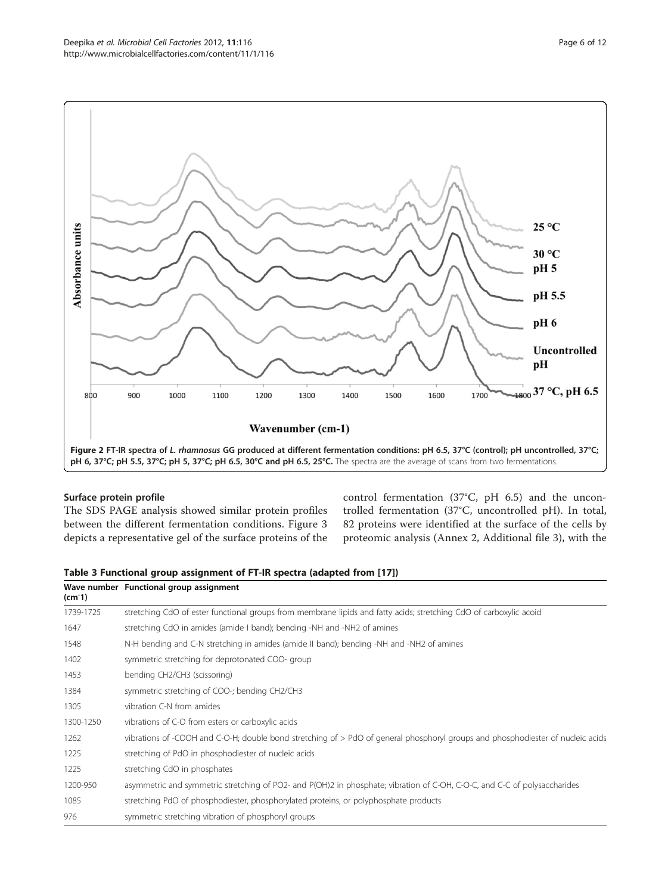<span id="page-5-0"></span>

## Surface protein profile

The SDS PAGE analysis showed similar protein profiles between the different fermentation conditions. Figure [3](#page-6-0) depicts a representative gel of the surface proteins of the control fermentation (37°C, pH 6.5) and the uncontrolled fermentation (37°C, uncontrolled pH). In total, 82 proteins were identified at the surface of the cells by proteomic analysis (Annex 2, Additional file [3\)](#page-9-0), with the

| Table 3 Functional group assignment of FT-IR spectra (adapted from [17]) |  |  |  |  |  |  |  |
|--------------------------------------------------------------------------|--|--|--|--|--|--|--|
|--------------------------------------------------------------------------|--|--|--|--|--|--|--|

| $(cm-1)$  | Wave number Functional group assignment                                                                                         |
|-----------|---------------------------------------------------------------------------------------------------------------------------------|
| 1739-1725 | stretching CdO of ester functional groups from membrane lipids and fatty acids; stretching CdO of carboxylic acoid              |
| 1647      | stretching CdO in amides (amide I band); bending -NH and -NH2 of amines                                                         |
| 1548      | N-H bending and C-N stretching in amides (amide II band); bending -NH and -NH2 of amines                                        |
| 1402      | symmetric stretching for deprotonated COO- group                                                                                |
| 1453      | bending CH2/CH3 (scissoring)                                                                                                    |
| 1384      | symmetric stretching of COO-; bending CH2/CH3                                                                                   |
| 1305      | vibration C-N from amides                                                                                                       |
| 1300-1250 | vibrations of C-O from esters or carboxylic acids                                                                               |
| 1262      | vibrations of -COOH and C-O-H; double bond stretching of > PdO of general phosphoryl groups and phosphodiester of nucleic acids |
| 1225      | stretching of PdO in phosphodiester of nucleic acids                                                                            |
| 1225      | stretching CdO in phosphates                                                                                                    |
| 1200-950  | asymmetric and symmetric stretching of PO2- and P(OH)2 in phosphate; vibration of C-OH, C-O-C, and C-C of polysaccharides       |
| 1085      | stretching PdO of phosphodiester, phosphorylated proteins, or polyphosphate products                                            |
| 976       | symmetric stretching vibration of phosphoryl groups                                                                             |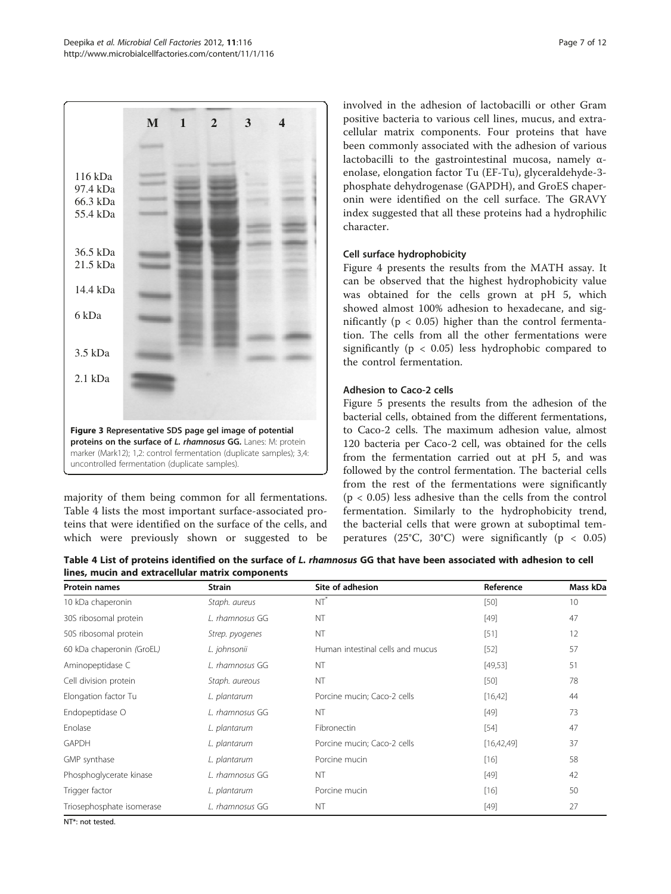<span id="page-6-0"></span>

majority of them being common for all fermentations. Table 4 lists the most important surface-associated proteins that were identified on the surface of the cells, and which were previously shown or suggested to be involved in the adhesion of lactobacilli or other Gram positive bacteria to various cell lines, mucus, and extracellular matrix components. Four proteins that have been commonly associated with the adhesion of various lactobacilli to the gastrointestinal mucosa, namely αenolase, elongation factor Tu (EF-Tu), glyceraldehyde-3 phosphate dehydrogenase (GAPDH), and GroES chaperonin were identified on the cell surface. The GRAVY index suggested that all these proteins had a hydrophilic character.

## Cell surface hydrophobicity

Figure [4](#page-7-0) presents the results from the MATH assay. It can be observed that the highest hydrophobicity value was obtained for the cells grown at pH 5, which showed almost 100% adhesion to hexadecane, and significantly ( $p < 0.05$ ) higher than the control fermentation. The cells from all the other fermentations were significantly ( $p < 0.05$ ) less hydrophobic compared to the control fermentation.

## Adhesion to Caco-2 cells

Figure [5](#page-7-0) presents the results from the adhesion of the bacterial cells, obtained from the different fermentations, to Caco-2 cells. The maximum adhesion value, almost 120 bacteria per Caco-2 cell, was obtained for the cells from the fermentation carried out at pH 5, and was followed by the control fermentation. The bacterial cells from the rest of the fermentations were significantly  $(p < 0.05)$  less adhesive than the cells from the control fermentation. Similarly to the hydrophobicity trend, the bacterial cells that were grown at suboptimal temperatures (25°C, 30°C) were significantly ( $p < 0.05$ )

Table 4 List of proteins identified on the surface of L. rhamnosus GG that have been associated with adhesion to cell lines, mucin and extracellular matrix components

| <b>Protein names</b>                 | <b>Strain</b>   | Site of adhesion                 | Reference  | Mass kDa |
|--------------------------------------|-----------------|----------------------------------|------------|----------|
| 10 kDa chaperonin                    | Staph. aureus   | $NT^*$                           | $[50]$     | 10       |
| 30S ribosomal protein                | L. rhamnosus GG | NT                               | $[49]$     | 47       |
| 50S ribosomal protein                | Strep. pyogenes | NT                               | $[51]$     | 12       |
| 60 kDa chaperonin (GroEL)            | L. johnsonii    | Human intestinal cells and mucus | $[52]$     | 57       |
| Aminopeptidase C                     | L. rhamnosus GG | NT                               | [49,53]    | 51       |
| Cell division protein                | Staph. aureous  | <b>NT</b>                        | $[50]$     | 78       |
| Elongation factor Tu<br>L. plantarum |                 | Porcine mucin; Caco-2 cells      | [16, 42]   | 44       |
| Endopeptidase O                      | L. rhamnosus GG | NT                               | $[49]$     | 73       |
| Enolase                              | L. plantarum    | Fibronectin                      | $[54]$     | 47       |
| <b>GAPDH</b>                         | L. plantarum    | Porcine mucin; Caco-2 cells      | [16,42,49] | 37       |
| GMP synthase                         | L. plantarum    | Porcine mucin                    | $[16]$     | 58       |
| Phosphoglycerate kinase              | L. rhamnosus GG | NT                               | $[49]$     | 42       |
| Trigger factor                       | L. plantarum    | Porcine mucin                    | $[16]$     | 50       |
| Triosephosphate isomerase            | L. rhamnosus GG | NT                               | $[49]$     | 27       |
|                                      |                 |                                  |            |          |

NT\*: not tested.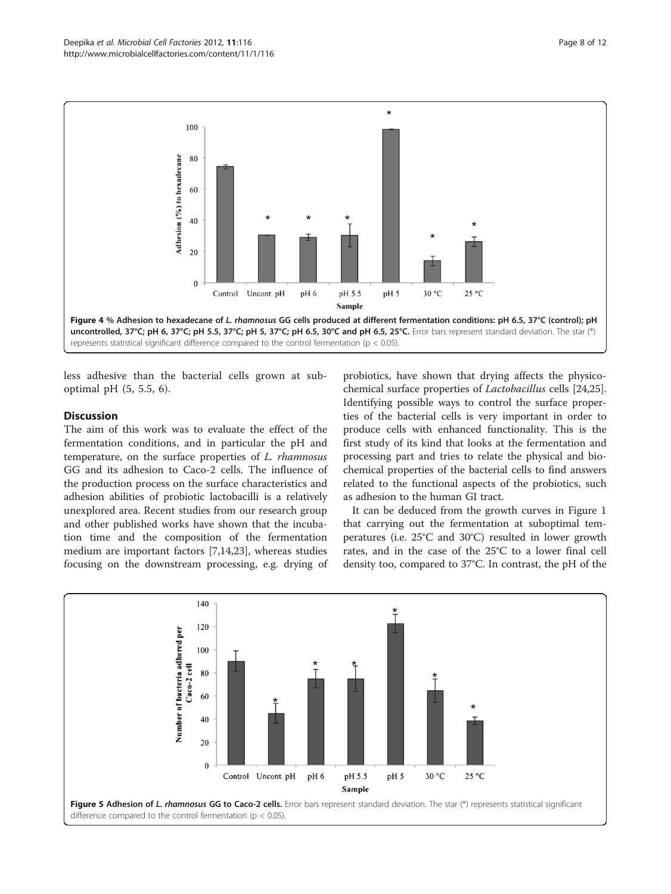<span id="page-7-0"></span>

less adhesive than the bacterial cells grown at suboptimal pH (5, 5.5, 6).

### **Discussion**

The aim of this work was to evaluate the effect of the fermentation conditions, and in particular the pH and temperature, on the surface properties of L. rhamnosus GG and its adhesion to Caco-2 cells. The influence of the production process on the surface characteristics and adhesion abilities of probiotic lactobacilli is a relatively unexplored area. Recent studies from our research group and other published works have shown that the incubation time and the composition of the fermentation medium are important factors [\[7,14,23](#page-10-0)], whereas studies focusing on the downstream processing, e.g. drying of

probiotics, have shown that drying affects the physicochemical surface properties of Lactobacillus cells [[24](#page-10-0),[25](#page-10-0)]. Identifying possible ways to control the surface properties of the bacterial cells is very important in order to produce cells with enhanced functionality. This is the first study of its kind that looks at the fermentation and processing part and tries to relate the physical and biochemical properties of the bacterial cells to find answers related to the functional aspects of the probiotics, such as adhesion to the human GI tract.

It can be deduced from the growth curves in Figure [1](#page-3-0) that carrying out the fermentation at suboptimal temperatures (i.e. 25°C and 30°C) resulted in lower growth rates, and in the case of the 25°C to a lower final cell density too, compared to 37°C. In contrast, the pH of the

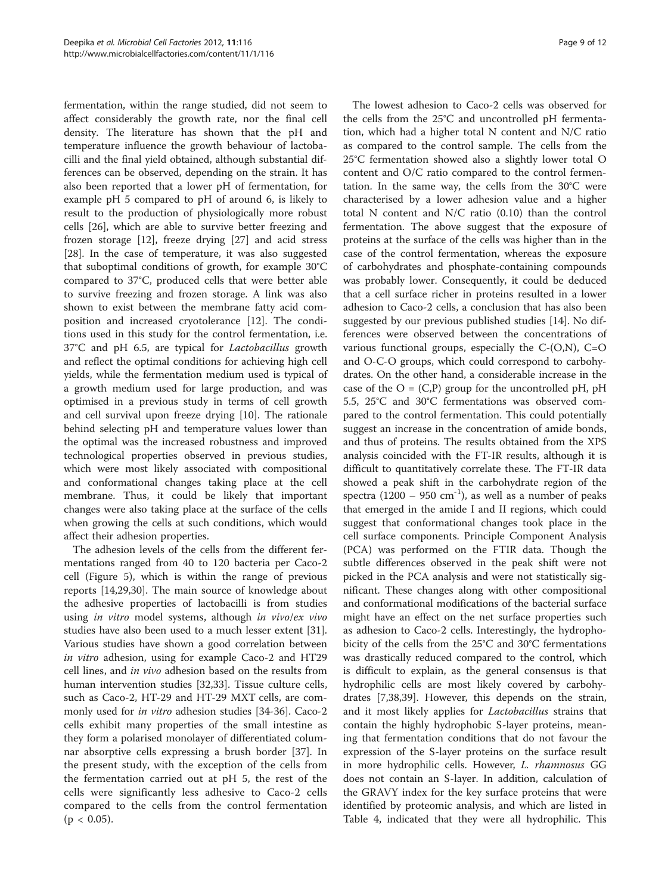fermentation, within the range studied, did not seem to affect considerably the growth rate, nor the final cell density. The literature has shown that the pH and temperature influence the growth behaviour of lactobacilli and the final yield obtained, although substantial differences can be observed, depending on the strain. It has also been reported that a lower pH of fermentation, for example pH 5 compared to pH of around 6, is likely to result to the production of physiologically more robust cells [[26](#page-10-0)], which are able to survive better freezing and frozen storage [[12\]](#page-10-0), freeze drying [\[27](#page-10-0)] and acid stress [[28\]](#page-10-0). In the case of temperature, it was also suggested that suboptimal conditions of growth, for example 30°C compared to 37°C, produced cells that were better able to survive freezing and frozen storage. A link was also shown to exist between the membrane fatty acid composition and increased cryotolerance [\[12](#page-10-0)]. The conditions used in this study for the control fermentation, i.e. 37°C and pH 6.5, are typical for Lactobacillus growth and reflect the optimal conditions for achieving high cell yields, while the fermentation medium used is typical of a growth medium used for large production, and was optimised in a previous study in terms of cell growth and cell survival upon freeze drying [[10](#page-10-0)]. The rationale behind selecting pH and temperature values lower than the optimal was the increased robustness and improved technological properties observed in previous studies, which were most likely associated with compositional and conformational changes taking place at the cell membrane. Thus, it could be likely that important changes were also taking place at the surface of the cells when growing the cells at such conditions, which would affect their adhesion properties.

The adhesion levels of the cells from the different fermentations ranged from 40 to 120 bacteria per Caco-2 cell (Figure [5\)](#page-7-0), which is within the range of previous reports [\[14,29,30](#page-10-0)]. The main source of knowledge about the adhesive properties of lactobacilli is from studies using in vitro model systems, although in vivo/ex vivo studies have also been used to a much lesser extent [\[31](#page-10-0)]. Various studies have shown a good correlation between in vitro adhesion, using for example Caco-2 and HT29 cell lines, and in vivo adhesion based on the results from human intervention studies [\[32,33](#page-10-0)]. Tissue culture cells, such as Caco-2, HT-29 and HT-29 MXT cells, are commonly used for *in vitro* adhesion studies [[34-36](#page-10-0)]. Caco-2 cells exhibit many properties of the small intestine as they form a polarised monolayer of differentiated columnar absorptive cells expressing a brush border [\[37\]](#page-10-0). In the present study, with the exception of the cells from the fermentation carried out at pH 5, the rest of the cells were significantly less adhesive to Caco-2 cells compared to the cells from the control fermentation  $(p < 0.05)$ .

The lowest adhesion to Caco-2 cells was observed for the cells from the 25°C and uncontrolled pH fermentation, which had a higher total N content and N/C ratio as compared to the control sample. The cells from the 25°C fermentation showed also a slightly lower total O content and O/C ratio compared to the control fermentation. In the same way, the cells from the 30°C were characterised by a lower adhesion value and a higher total N content and N/C ratio (0.10) than the control fermentation. The above suggest that the exposure of proteins at the surface of the cells was higher than in the case of the control fermentation, whereas the exposure of carbohydrates and phosphate-containing compounds was probably lower. Consequently, it could be deduced that a cell surface richer in proteins resulted in a lower adhesion to Caco-2 cells, a conclusion that has also been suggested by our previous published studies [[14\]](#page-10-0). No differences were observed between the concentrations of various functional groups, especially the  $C_{-}(O,N)$ ,  $C_{=}O$ and O-C-O groups, which could correspond to carbohydrates. On the other hand, a considerable increase in the case of the  $O = (C,P)$  group for the uncontrolled pH, pH 5.5, 25°C and 30°C fermentations was observed compared to the control fermentation. This could potentially suggest an increase in the concentration of amide bonds, and thus of proteins. The results obtained from the XPS analysis coincided with the FT-IR results, although it is difficult to quantitatively correlate these. The FT-IR data showed a peak shift in the carbohydrate region of the spectra  $(1200 - 950 \text{ cm}^{-1})$ , as well as a number of peaks that emerged in the amide I and II regions, which could suggest that conformational changes took place in the cell surface components. Principle Component Analysis (PCA) was performed on the FTIR data. Though the subtle differences observed in the peak shift were not picked in the PCA analysis and were not statistically significant. These changes along with other compositional and conformational modifications of the bacterial surface might have an effect on the net surface properties such as adhesion to Caco-2 cells. Interestingly, the hydrophobicity of the cells from the 25°C and 30°C fermentations was drastically reduced compared to the control, which is difficult to explain, as the general consensus is that hydrophilic cells are most likely covered by carbohydrates [[7,38,39](#page-10-0)]. However, this depends on the strain, and it most likely applies for Lactobacillus strains that contain the highly hydrophobic S-layer proteins, meaning that fermentation conditions that do not favour the expression of the S-layer proteins on the surface result in more hydrophilic cells. However, L. rhamnosus GG does not contain an S-layer. In addition, calculation of the GRAVY index for the key surface proteins that were identified by proteomic analysis, and which are listed in Table [4,](#page-6-0) indicated that they were all hydrophilic. This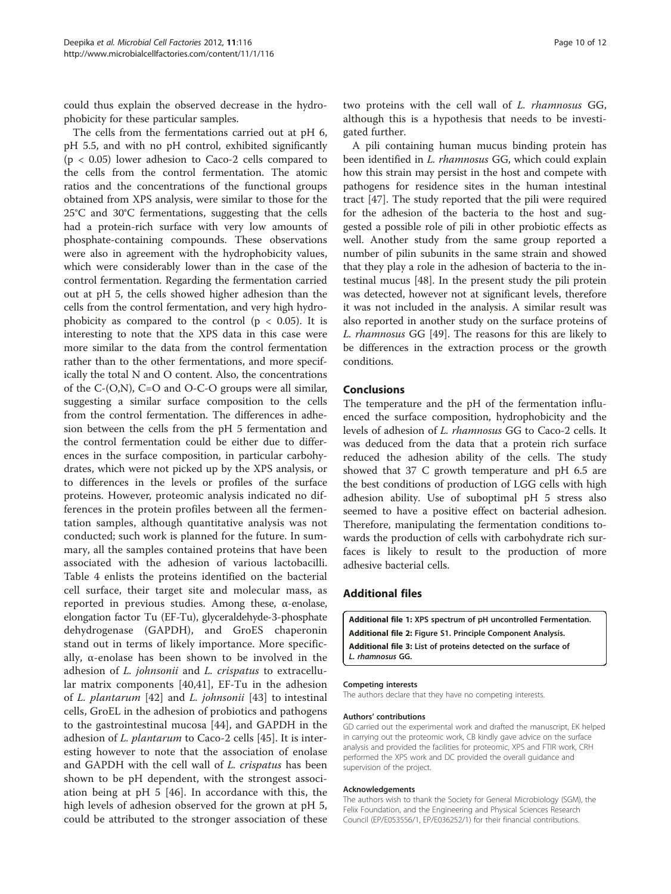<span id="page-9-0"></span>could thus explain the observed decrease in the hydrophobicity for these particular samples.

The cells from the fermentations carried out at pH 6, pH 5.5, and with no pH control, exhibited significantly  $(p < 0.05)$  lower adhesion to Caco-2 cells compared to the cells from the control fermentation. The atomic ratios and the concentrations of the functional groups obtained from XPS analysis, were similar to those for the 25°C and 30°C fermentations, suggesting that the cells had a protein-rich surface with very low amounts of phosphate-containing compounds. These observations were also in agreement with the hydrophobicity values, which were considerably lower than in the case of the control fermentation. Regarding the fermentation carried out at pH 5, the cells showed higher adhesion than the cells from the control fermentation, and very high hydrophobicity as compared to the control ( $p < 0.05$ ). It is interesting to note that the XPS data in this case were more similar to the data from the control fermentation rather than to the other fermentations, and more specifically the total N and O content. Also, the concentrations of the C-(O,N), C=O and O-C-O groups were all similar, suggesting a similar surface composition to the cells from the control fermentation. The differences in adhesion between the cells from the pH 5 fermentation and the control fermentation could be either due to differences in the surface composition, in particular carbohydrates, which were not picked up by the XPS analysis, or to differences in the levels or profiles of the surface proteins. However, proteomic analysis indicated no differences in the protein profiles between all the fermentation samples, although quantitative analysis was not conducted; such work is planned for the future. In summary, all the samples contained proteins that have been associated with the adhesion of various lactobacilli. Table [4](#page-6-0) enlists the proteins identified on the bacterial cell surface, their target site and molecular mass, as reported in previous studies. Among these, α-enolase, elongation factor Tu (EF-Tu), glyceraldehyde-3-phosphate dehydrogenase (GAPDH), and GroES chaperonin stand out in terms of likely importance. More specifically, α-enolase has been shown to be involved in the adhesion of *L. johnsonii* and *L. crispatus* to extracellular matrix components [[40,41](#page-11-0)], EF-Tu in the adhesion of L. plantarum [[42](#page-11-0)] and L. johnsonii [\[43](#page-11-0)] to intestinal cells, GroEL in the adhesion of probiotics and pathogens to the gastrointestinal mucosa [\[44](#page-11-0)], and GAPDH in the adhesion of L. plantarum to Caco-2 cells [\[45](#page-11-0)]. It is interesting however to note that the association of enolase and GAPDH with the cell wall of *L. crispatus* has been shown to be pH dependent, with the strongest association being at pH 5 [[46](#page-11-0)]. In accordance with this, the high levels of adhesion observed for the grown at pH 5, could be attributed to the stronger association of these two proteins with the cell wall of L. rhamnosus GG, although this is a hypothesis that needs to be investigated further.

A pili containing human mucus binding protein has been identified in *L. rhamnosus* GG, which could explain how this strain may persist in the host and compete with pathogens for residence sites in the human intestinal tract [[47\]](#page-11-0). The study reported that the pili were required for the adhesion of the bacteria to the host and suggested a possible role of pili in other probiotic effects as well. Another study from the same group reported a number of pilin subunits in the same strain and showed that they play a role in the adhesion of bacteria to the intestinal mucus [[48\]](#page-11-0). In the present study the pili protein was detected, however not at significant levels, therefore it was not included in the analysis. A similar result was also reported in another study on the surface proteins of L. rhamnosus GG [\[49](#page-11-0)]. The reasons for this are likely to be differences in the extraction process or the growth conditions.

#### Conclusions

The temperature and the pH of the fermentation influenced the surface composition, hydrophobicity and the levels of adhesion of L. rhamnosus GG to Caco-2 cells. It was deduced from the data that a protein rich surface reduced the adhesion ability of the cells. The study showed that 37 C growth temperature and pH 6.5 are the best conditions of production of LGG cells with high adhesion ability. Use of suboptimal pH 5 stress also seemed to have a positive effect on bacterial adhesion. Therefore, manipulating the fermentation conditions towards the production of cells with carbohydrate rich surfaces is likely to result to the production of more adhesive bacterial cells.

## Additional files

- [Additional file 1:](http://www.biomedcentral.com/content/supplementary/1475-2859-11-116-S1.bmp) XPS spectrum of pH uncontrolled Fermentation.
- [Additional file 2:](http://www.biomedcentral.com/content/supplementary/1475-2859-11-116-S2.doc) Figure S1. Principle Component Analysis.
- [Additional file 3:](http://www.biomedcentral.com/content/supplementary/1475-2859-11-116-S3.doc) List of proteins detected on the surface of
- L. rhamnosus GG.

#### Competing interests

The authors declare that they have no competing interests.

#### Authors' contributions

GD carried out the experimental work and drafted the manuscript, EK helped in carrying out the proteomic work, CB kindly gave advice on the surface analysis and provided the facilities for proteomic, XPS and FTIR work, CRH performed the XPS work and DC provided the overall guidance and supervision of the project.

#### Acknowledgements

The authors wish to thank the Society for General Microbiology (SGM), the Felix Foundation, and the Engineering and Physical Sciences Research Council (EP/E053556/1, EP/E036252/1) for their financial contributions.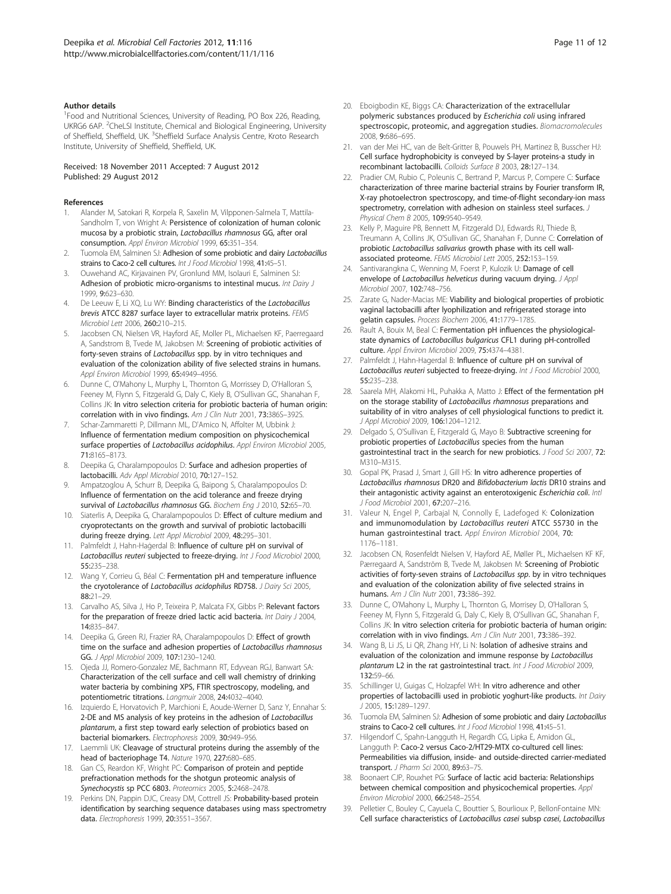#### <span id="page-10-0"></span>Author details

<sup>1</sup> Food and Nutritional Sciences, University of Reading, PO Box 226, Reading, UKRG6 6AP. <sup>2</sup>CheLSI Institute, Chemical and Biological Engineering, University of Sheffield, Sheffield, UK. <sup>3</sup>Sheffield Surface Analysis Centre, Kroto Research Institute, University of Sheffield, Sheffield, UK.

Received: 18 November 2011 Accepted: 7 August 2012 Published: 29 August 2012

#### References

- 1. Alander M, Satokari R, Korpela R, Saxelin M, Vilpponen-Salmela T, Mattila-Sandholm T, von Wright A: Persistence of colonization of human colonic mucosa by a probiotic strain, Lactobacillus rhamnosus GG, after oral consumption. Appl Environ Microbiol 1999, 65:351–354.
- 2. Tuomola EM, Salminen SJ: Adhesion of some probiotic and dairy Lactobacillus strains to Caco-2 cell cultures. Int J Food Microbiol 1998, 41:45–51.
- 3. Ouwehand AC, Kirjavainen PV, Gronlund MM, Isolauri E, Salminen SJ: Adhesion of probiotic micro-organisms to intestinal mucus. Int Dairy J 1999, 9:623–630.
- De Leeuw E, Li XQ, Lu WY: Binding characteristics of the Lactobacillus brevis ATCC 8287 surface layer to extracellular matrix proteins. FEMS Microbiol Lett 2006, 260:210–215.
- Jacobsen CN, Nielsen VR, Hayford AE, Moller PL, Michaelsen KF, Paerregaard A, Sandstrom B, Tvede M, Jakobsen M: Screening of probiotic activities of forty-seven strains of Lactobacillus spp. by in vitro techniques and evaluation of the colonization ability of five selected strains in humans. Appl Environ Microbiol 1999, 65:4949-4956.
- 6. Dunne C, O'Mahony L, Murphy L, Thornton G, Morrissey D, O'Halloran S, Feeney M, Flynn S, Fitzgerald G, Daly C, Kiely B, O'Sullivan GC, Shanahan F, Collins JK: In vitro selection criteria for probiotic bacteria of human origin: correlation with in vivo findings. Am J Clin Nutr 2001, 73:386S-392S.
- 7. Schar-Zammaretti P, Dillmann ML, D'Amico N, Affolter M, Ubbink J: Influence of fermentation medium composition on physicochemical surface properties of Lactobacillus acidophilus. Appl Environ Microbiol 2005, 71:8165–8173.
- 8. Deepika G, Charalampopoulos D: Surface and adhesion properties of lactobacilli. Adv Appl Microbiol 2010, 70:127–152.
- 9. Ampatzoglou A, Schurr B, Deepika G, Baipong S, Charalampopoulos D: Influence of fermentation on the acid tolerance and freeze drying survival of Lactobacillus rhamnosus GG. Biochem Eng J 2010, 52:65-70.
- 10. Siaterlis A, Deepika G, Charalampopoulos D: Effect of culture medium and cryoprotectants on the growth and survival of probiotic lactobacilli during freeze drying. Lett Appl Microbiol 2009, 48:295–301.
- 11. Palmfeldt J, Hahn-Haġerdal B: Influence of culture pH on survival of Lactobacillus reuteri subjected to freeze-drying. Int J Food Microbiol 2000, 55:235–238.
- 12. Wang Y, Corrieu G, Béal C: Fermentation pH and temperature influence the cryotolerance of Lactobacillus acidophilus RD758. J Dairy Sci 2005, 88:21–29.
- 13. Carvalho AS, Silva J, Ho P, Teixeira P, Malcata FX, Gibbs P: Relevant factors for the preparation of freeze dried lactic acid bacteria. Int Dairy J 2004, 14:835–847.
- 14. Deepika G, Green RJ, Frazier RA, Charalampopoulos D: Effect of growth time on the surface and adhesion properties of Lactobacillus rhamnosus GG. J Appl Microbiol 2009, 107:1230–1240.
- 15. Ojeda JJ, Romero-Gonzalez ME, Bachmann RT, Edyvean RGJ, Banwart SA: Characterization of the cell surface and cell wall chemistry of drinking water bacteria by combining XPS, FTIR spectroscopy, modeling, and potentiometric titrations. Langmuir 2008, 24:4032–4040.
- 16. Izquierdo E, Horvatovich P, Marchioni E, Aoude-Werner D, Sanz Y, Ennahar S: 2-DE and MS analysis of key proteins in the adhesion of Lactobacillus plantarum, a first step toward early selection of probiotics based on bacterial biomarkers. Electrophoresis 2009, 30:949–956.
- 17. Laemmli UK: Cleavage of structural proteins during the assembly of the head of bacteriophage T4. Nature 1970, 227:680–685.
- 18. Gan CS, Reardon KF, Wright PC: Comparison of protein and peptide prefractionation methods for the shotgun proteomic analysis of Synechocystis sp PCC 6803. Proteomics 2005, 5:2468–2478.
- 19. Perkins DN, Pappin DJC, Creasy DM, Cottrell JS: Probability-based protein identification by searching sequence databases using mass spectrometry data. Electrophoresis 1999, 20:3551–3567.
- 20. Eboigbodin KE, Biggs CA: Characterization of the extracellular polymeric substances produced by Escherichia coli using infrared spectroscopic, proteomic, and aggregation studies. Biomacromolecules 2008, 9:686–695.
- 21. van der Mei HC, van de Belt-Gritter B, Pouwels PH, Martinez B, Busscher HJ: Cell surface hydrophobicity is conveyed by S-layer proteins-a study in recombinant lactobacilli. Colloids Surface B 2003, 28:127–134.
- Pradier CM, Rubio C, Poleunis C, Bertrand P, Marcus P, Compere C: Surface characterization of three marine bacterial strains by Fourier transform IR, X-ray photoelectron spectroscopy, and time-of-flight secondary-ion mass spectrometry, correlation with adhesion on stainless steel surfaces. J Physical Chem B 2005, 109:9540–9549.
- 23. Kelly P, Maguire PB, Bennett M, Fitzgerald DJ, Edwards RJ, Thiede B, Treumann A, Collins JK, O'Sullivan GC, Shanahan F, Dunne C: Correlation of probiotic Lactobacillus salivarius growth phase with its cell wallassociated proteome. FEMS Microbiol Lett 2005, 252:153–159.
- 24. Santivarangkna C, Wenning M, Foerst P, Kulozik U: Damage of cell envelope of Lactobacillus helveticus during vacuum drying. J Appl Microbiol 2007, 102:748–756.
- 25. Zarate G, Nader-Macias ME: Viability and biological properties of probiotic vaginal lactobacilli after lyophilization and refrigerated storage into gelatin capsules. Process Biochem 2006, 41:1779–1785.
- 26. Rault A, Bouix M, Beal C: Fermentation pH influences the physiologicalstate dynamics of Lactobacillus bulgaricus CFL1 during pH-controlled culture. Appl Environ Microbiol 2009, 75:4374–4381.
- 27. Palmfeldt J, Hahn-Hagerdal B: Influence of culture pH on survival of Lactobacillus reuteri subjected to freeze-drying. Int J Food Microbiol 2000, 55:235–238.
- 28. Saarela MH, Alakomi HL, Puhakka A, Matto J: Effect of the fermentation pH on the storage stability of Lactobacillus rhamnosus preparations and suitability of in vitro analyses of cell physiological functions to predict it. J Appl Microbiol 2009, 106:1204-1212.
- 29. Delgado S, O'Sullivan E, Fitzgerald G, Mayo B: Subtractive screening for probiotic properties of Lactobacillus species from the human gastrointestinal tract in the search for new probiotics. J Food Sci 2007, 72: M310–M315.
- 30. Gopal PK, Prasad J, Smart J, Gill HS: In vitro adherence properties of Lactobacillus rhamnosus DR20 and Bifidobacterium lactis DR10 strains and their antagonistic activity against an enterotoxigenic Escherichia coli. Intl J Food Microbiol 2001, 67:207–216.
- 31. Valeur N, Engel P, Carbajal N, Connolly E, Ladefoged K: Colonization and immunomodulation by Lactobacillus reuteri ATCC 55730 in the human gastrointestinal tract. Appl Environ Microbiol 2004, 70: 1176–1181.
- 32. Jacobsen CN, Rosenfeldt Nielsen V, Hayford AE, Møller PL, Michaelsen KF KF, Pærregaard A, Sandström B, Tvede M, Jakobsen M: Screening of Probiotic activities of forty-seven strains of Lactobacillus spp. by in vitro techniques and evaluation of the colonization ability of five selected strains in humans. Am J Clin Nutr 2001, 73:386–392.
- 33. Dunne C, O'Mahony L, Murphy L, Thornton G, Morrisey D, O'Halloran S, Feeney M, Flynn S, Fitzgerald G, Daly C, Kiely B, O'Sullivan GC, Shanahan F, Collins JK: In vitro selection criteria for probiotic bacteria of human origin: correlation with in vivo findings. Am J Clin Nutr 2001, 73:386-392.
- 34. Wang B, Li JS, Li QR, Zhang HY, Li N: Isolation of adhesive strains and evaluation of the colonization and immune response by Lactobacillus plantarum L2 in the rat gastrointestinal tract. Int J Food Microbiol 2009, 132:59–66.
- 35. Schillinger U, Guigas C, Holzapfel WH: In vitro adherence and other properties of lactobacilli used in probiotic yoghurt-like products. Int Dairy J 2005, 15:1289–1297.
- 36. Tuomola EM, Salminen SJ: Adhesion of some probiotic and dairy Lactobacillus strains to Caco-2 cell cultures. Int J Food Microbiol 1998, 41:45-51.
- 37. Hilgendorf C, Spahn-Langguth H, Regardh CG, Lipka E, Amidon GL, Langguth P: Caco-2 versus Caco-2/HT29-MTX co-cultured cell lines: Permeabilities via diffusion, inside- and outside-directed carrier-mediated transport. J Pharm Sci 2000, 89:63-75.
- 38. Boonaert CJP, Rouxhet PG: Surface of lactic acid bacteria: Relationships between chemical composition and physicochemical properties. Appl Environ Microbiol 2000, 66:2548–2554.
- 39. Pelletier C, Bouley C, Cayuela C, Bouttier S, Bourlioux P, BellonFontaine MN: Cell surface characteristics of Lactobacillus casei subsp casei, Lactobacillus